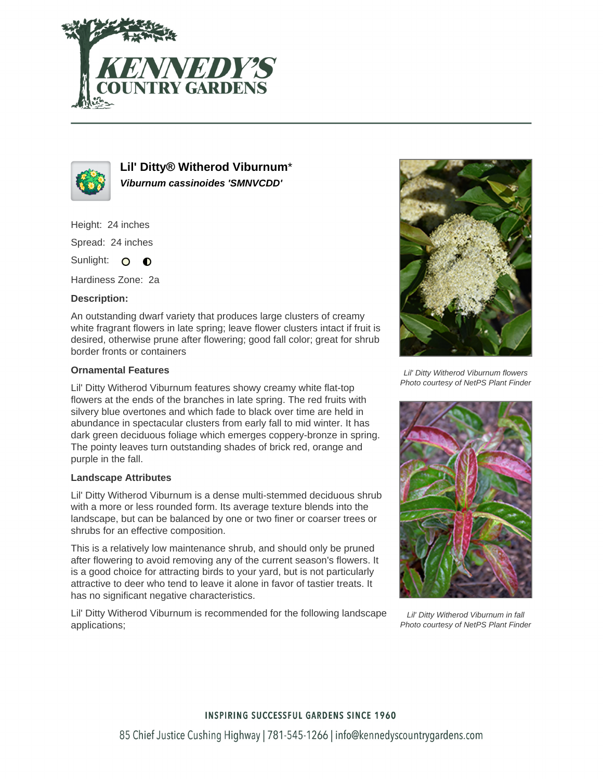



**Lil' Ditty® Witherod Viburnum**\* **Viburnum cassinoides 'SMNVCDD'**

Height: 24 inches

Spread: 24 inches

Sunlight: O **O** 

Hardiness Zone: 2a

### **Description:**

An outstanding dwarf variety that produces large clusters of creamy white fragrant flowers in late spring; leave flower clusters intact if fruit is desired, otherwise prune after flowering; good fall color; great for shrub border fronts or containers

### **Ornamental Features**

Lil' Ditty Witherod Viburnum features showy creamy white flat-top flowers at the ends of the branches in late spring. The red fruits with silvery blue overtones and which fade to black over time are held in abundance in spectacular clusters from early fall to mid winter. It has dark green deciduous foliage which emerges coppery-bronze in spring. The pointy leaves turn outstanding shades of brick red, orange and purple in the fall.

### **Landscape Attributes**

Lil' Ditty Witherod Viburnum is a dense multi-stemmed deciduous shrub with a more or less rounded form. Its average texture blends into the landscape, but can be balanced by one or two finer or coarser trees or shrubs for an effective composition.

This is a relatively low maintenance shrub, and should only be pruned after flowering to avoid removing any of the current season's flowers. It is a good choice for attracting birds to your yard, but is not particularly attractive to deer who tend to leave it alone in favor of tastier treats. It has no significant negative characteristics.

Lil' Ditty Witherod Viburnum is recommended for the following landscape applications;



Lil' Ditty Witherod Viburnum flowers Photo courtesy of NetPS Plant Finder



Lil' Ditty Witherod Viburnum in fall Photo courtesy of NetPS Plant Finder

# **INSPIRING SUCCESSFUL GARDENS SINCE 1960** 85 Chief Justice Cushing Highway | 781-545-1266 | info@kennedyscountrygardens.com